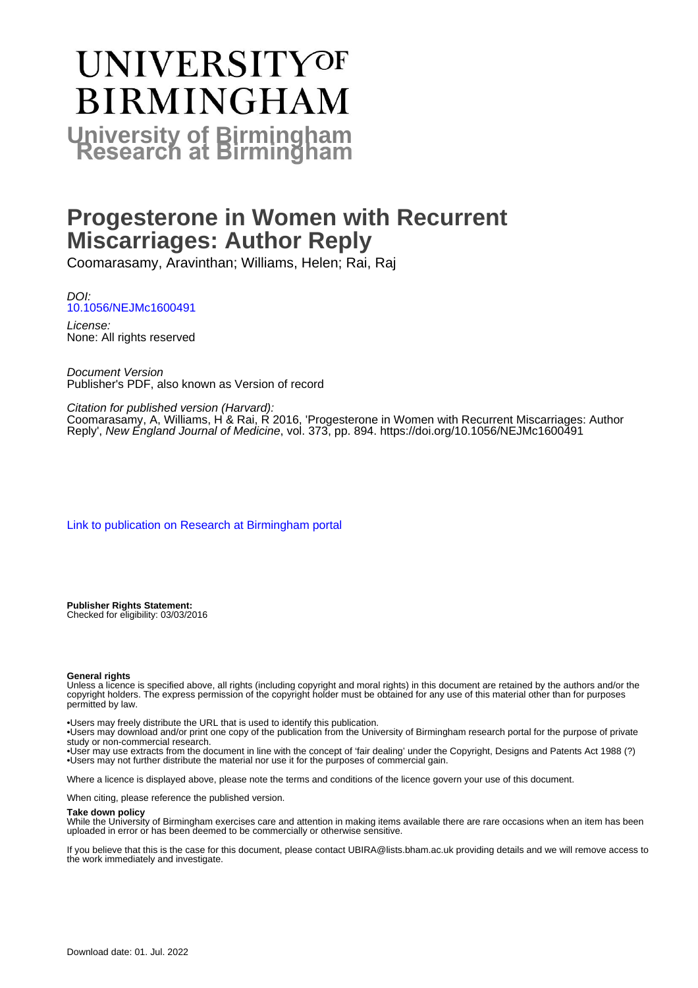# UNIVERSITYOF **BIRMINGHAM University of Birmingham**

## **Progesterone in Women with Recurrent Miscarriages: Author Reply**

Coomarasamy, Aravinthan; Williams, Helen; Rai, Raj

DOI: [10.1056/NEJMc1600491](https://doi.org/10.1056/NEJMc1600491)

License: None: All rights reserved

Document Version Publisher's PDF, also known as Version of record

Citation for published version (Harvard):

Coomarasamy, A, Williams, H & Rai, R 2016, 'Progesterone in Women with Recurrent Miscarriages: Author Reply', New England Journal of Medicine, vol. 373, pp. 894.<https://doi.org/10.1056/NEJMc1600491>

[Link to publication on Research at Birmingham portal](https://birmingham.elsevierpure.com/en/publications/e3366787-6840-4b11-b01a-22e03b426fe6)

**Publisher Rights Statement:** Checked for eligibility: 03/03/2016

#### **General rights**

Unless a licence is specified above, all rights (including copyright and moral rights) in this document are retained by the authors and/or the copyright holders. The express permission of the copyright holder must be obtained for any use of this material other than for purposes permitted by law.

• Users may freely distribute the URL that is used to identify this publication.

• Users may download and/or print one copy of the publication from the University of Birmingham research portal for the purpose of private study or non-commercial research.

• User may use extracts from the document in line with the concept of 'fair dealing' under the Copyright, Designs and Patents Act 1988 (?) • Users may not further distribute the material nor use it for the purposes of commercial gain.

Where a licence is displayed above, please note the terms and conditions of the licence govern your use of this document.

When citing, please reference the published version.

#### **Take down policy**

While the University of Birmingham exercises care and attention in making items available there are rare occasions when an item has been uploaded in error or has been deemed to be commercially or otherwise sensitive.

If you believe that this is the case for this document, please contact UBIRA@lists.bham.ac.uk providing details and we will remove access to the work immediately and investigate.